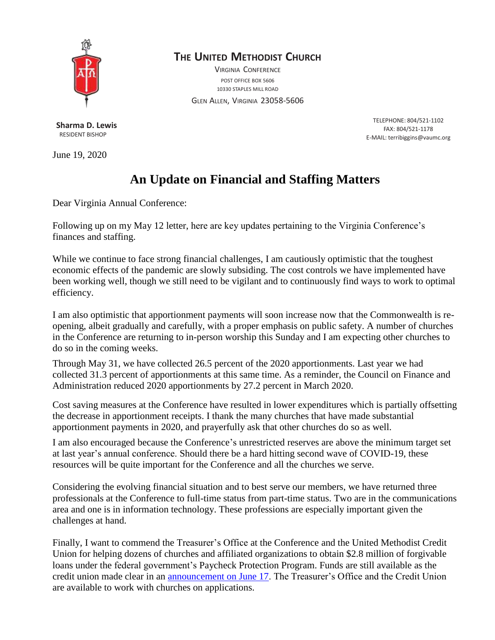

## **THE UNITED METHODIST CHURCH**

VIRGINIA CONFERENCE POST OFFICE BOX 5606 10330 STAPLES MILL ROAD

GLEN ALLEN, VIRGINIA 23058-5606

**Sharma D. Lewis** RESIDENT BISHOP

June 19, 2020

TELEPHONE: 804/521-1102 FAX: 804/521-1178 E-MAIL: [terribiggins@vaumc.org](mailto:terribiggins@vaumc.org)

## **An Update on Financial and Staffing Matters**

Dear Virginia Annual Conference:

Following up on my May 12 letter, here are key updates pertaining to the Virginia Conference's finances and staffing.

While we continue to face strong financial challenges, I am cautiously optimistic that the toughest economic effects of the pandemic are slowly subsiding. The cost controls we have implemented have been working well, though we still need to be vigilant and to continuously find ways to work to optimal efficiency.

I am also optimistic that apportionment payments will soon increase now that the Commonwealth is reopening, albeit gradually and carefully, with a proper emphasis on public safety. A number of churches in the Conference are returning to in-person worship this Sunday and I am expecting other churches to do so in the coming weeks.

Through May 31, we have collected 26.5 percent of the 2020 apportionments. Last year we had collected 31.3 percent of apportionments at this same time. As a reminder, the Council on Finance and Administration reduced 2020 apportionments by 27.2 percent in March 2020.

Cost saving measures at the Conference have resulted in lower expenditures which is partially offsetting the decrease in apportionment receipts. I thank the many churches that have made substantial apportionment payments in 2020, and prayerfully ask that other churches do so as well.

I am also encouraged because the Conference's unrestricted reserves are above the minimum target set at last year's annual conference. Should there be a hard hitting second wave of COVID-19, these resources will be quite important for the Conference and all the churches we serve.

Considering the evolving financial situation and to best serve our members, we have returned three professionals at the Conference to full-time status from part-time status. Two are in the communications area and one is in information technology. These professions are especially important given the challenges at hand.

Finally, I want to commend the Treasurer's Office at the Conference and the United Methodist Credit Union for helping dozens of churches and affiliated organizations to obtain \$2.8 million of forgivable loans under the federal government's Paycheck Protection Program. Funds are still available as the credit union made clear in an [announcement on June 17.](https://www.tumcu.org/sba-paycheck-protection-program/) The Treasurer's Office and the Credit Union are available to work with churches on applications.